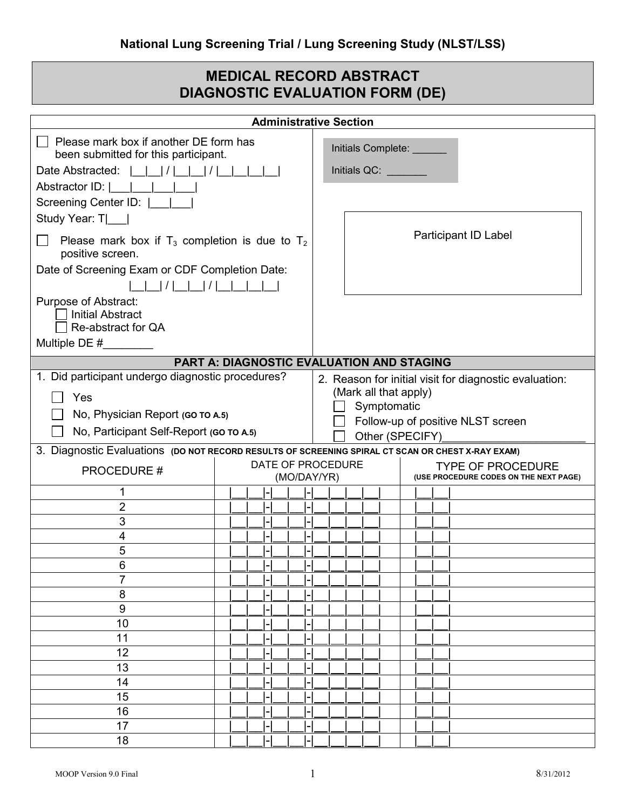## **MEDICAL RECORD ABSTRACT DIAGNOSTIC EVALUATION FORM (DE)**

|                                                                                                                        |  |  |                          | <b>Administrative Section</b>     |                                                        |                       |  |  |                                                                    |  |  |  |
|------------------------------------------------------------------------------------------------------------------------|--|--|--------------------------|-----------------------------------|--------------------------------------------------------|-----------------------|--|--|--------------------------------------------------------------------|--|--|--|
| $\Box$ Please mark box if another DE form has<br>been submitted for this participant.                                  |  |  |                          |                                   | Initials Complete: ______                              |                       |  |  |                                                                    |  |  |  |
|                                                                                                                        |  |  |                          |                                   | Initials QC: <b>All Accords</b>                        |                       |  |  |                                                                    |  |  |  |
| Abstractor ID:                                                                                                         |  |  |                          |                                   |                                                        |                       |  |  |                                                                    |  |  |  |
| Screening Center ID:  ______                                                                                           |  |  |                          |                                   |                                                        |                       |  |  |                                                                    |  |  |  |
| Study Year: T                                                                                                          |  |  |                          |                                   |                                                        |                       |  |  |                                                                    |  |  |  |
| Please mark box if $T_3$ completion is due to $T_2$<br>positive screen.                                                |  |  |                          |                                   | Participant ID Label                                   |                       |  |  |                                                                    |  |  |  |
| Date of Screening Exam or CDF Completion Date:                                                                         |  |  |                          |                                   |                                                        |                       |  |  |                                                                    |  |  |  |
|                                                                                                                        |  |  |                          |                                   |                                                        |                       |  |  |                                                                    |  |  |  |
| Purpose of Abstract:<br><b>Initial Abstract</b><br>Re-abstract for QA                                                  |  |  |                          |                                   |                                                        |                       |  |  |                                                                    |  |  |  |
| Multiple DE $#$                                                                                                        |  |  |                          |                                   |                                                        |                       |  |  |                                                                    |  |  |  |
| <b>PART A: DIAGNOSTIC EVALUATION AND STAGING</b>                                                                       |  |  |                          |                                   |                                                        |                       |  |  |                                                                    |  |  |  |
| 1. Did participant undergo diagnostic procedures?                                                                      |  |  |                          |                                   | 2. Reason for initial visit for diagnostic evaluation: |                       |  |  |                                                                    |  |  |  |
| Yes                                                                                                                    |  |  |                          |                                   |                                                        | (Mark all that apply) |  |  |                                                                    |  |  |  |
| No, Physician Report (GO TO A.5)                                                                                       |  |  |                          | Symptomatic                       |                                                        |                       |  |  |                                                                    |  |  |  |
| No, Participant Self-Report (GO TO A.5)                                                                                |  |  |                          | Follow-up of positive NLST screen |                                                        |                       |  |  |                                                                    |  |  |  |
|                                                                                                                        |  |  |                          |                                   |                                                        | Other (SPECIFY)       |  |  |                                                                    |  |  |  |
| 3. Diagnostic Evaluations (DO NOT RECORD RESULTS OF SCREENING SPIRAL CT SCAN OR CHEST X-RAY EXAM)<br>DATE OF PROCEDURE |  |  |                          |                                   |                                                        |                       |  |  |                                                                    |  |  |  |
| <b>PROCEDURE#</b>                                                                                                      |  |  |                          |                                   |                                                        | (MO/DAY/YR)           |  |  | <b>TYPE OF PROCEDURE</b><br>(USE PROCEDURE CODES ON THE NEXT PAGE) |  |  |  |
|                                                                                                                        |  |  |                          |                                   |                                                        |                       |  |  |                                                                    |  |  |  |
| 2                                                                                                                      |  |  |                          |                                   |                                                        |                       |  |  |                                                                    |  |  |  |
| 3                                                                                                                      |  |  |                          |                                   |                                                        |                       |  |  |                                                                    |  |  |  |
| 4<br>5                                                                                                                 |  |  |                          |                                   |                                                        |                       |  |  |                                                                    |  |  |  |
| 6                                                                                                                      |  |  |                          |                                   |                                                        |                       |  |  |                                                                    |  |  |  |
| $\overline{7}$                                                                                                         |  |  |                          |                                   |                                                        |                       |  |  |                                                                    |  |  |  |
| 8                                                                                                                      |  |  |                          |                                   |                                                        |                       |  |  |                                                                    |  |  |  |
| 9                                                                                                                      |  |  |                          |                                   |                                                        |                       |  |  |                                                                    |  |  |  |
| 10                                                                                                                     |  |  |                          |                                   |                                                        |                       |  |  |                                                                    |  |  |  |
| 11                                                                                                                     |  |  |                          |                                   |                                                        |                       |  |  |                                                                    |  |  |  |
| 12                                                                                                                     |  |  |                          |                                   |                                                        |                       |  |  |                                                                    |  |  |  |
| 13                                                                                                                     |  |  |                          |                                   |                                                        |                       |  |  |                                                                    |  |  |  |
| 14                                                                                                                     |  |  | $\overline{\phantom{0}}$ |                                   |                                                        |                       |  |  |                                                                    |  |  |  |
| 15                                                                                                                     |  |  | ۱.,                      |                                   | $\overline{a}$                                         |                       |  |  |                                                                    |  |  |  |
| 16                                                                                                                     |  |  |                          |                                   |                                                        |                       |  |  |                                                                    |  |  |  |
| 17                                                                                                                     |  |  | l-                       |                                   |                                                        |                       |  |  |                                                                    |  |  |  |
| 18                                                                                                                     |  |  | l-                       |                                   |                                                        |                       |  |  |                                                                    |  |  |  |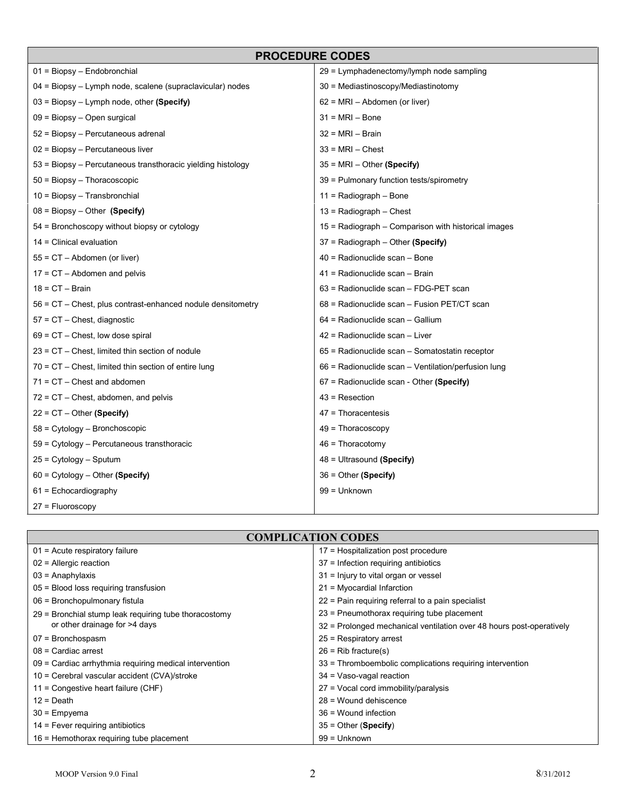|                                                             | <b>PROCEDURE CODES</b>                              |  |  |  |  |
|-------------------------------------------------------------|-----------------------------------------------------|--|--|--|--|
| $01 = Biopsy - Endobronchial$                               | 29 = Lymphadenectomy/lymph node sampling            |  |  |  |  |
| 04 = Biopsy - Lymph node, scalene (supraclavicular) nodes   | 30 = Mediastinoscopy/Mediastinotomy                 |  |  |  |  |
| $03$ = Biopsy – Lymph node, other (Specify)                 | $62$ = MRI – Abdomen (or liver)                     |  |  |  |  |
| $09 = Biopy - Open surgical$                                | $31 = MRI - Bone$                                   |  |  |  |  |
| 52 = Biopsy – Percutaneous adrenal                          | $32 = MRI - Brain$                                  |  |  |  |  |
| 02 = Biopsy - Percutaneous liver                            | $33 = MRI - Chester$                                |  |  |  |  |
| 53 = Biopsy - Percutaneous transthoracic yielding histology | $35 = MRI - Other (Specific)$                       |  |  |  |  |
| $50 = Biopsy - Thoracoscopic$                               | 39 = Pulmonary function tests/spirometry            |  |  |  |  |
| $10 = Biopy - Transbronchial$                               | $11 =$ Radiograph – Bone                            |  |  |  |  |
| $08 = Biopy - Other (Specific)$                             | $13$ = Radiograph – Chest                           |  |  |  |  |
| 54 = Bronchoscopy without biopsy or cytology                | 15 = Radiograph – Comparison with historical images |  |  |  |  |
| 14 = Clinical evaluation                                    | 37 = Radiograph - Other (Specify)                   |  |  |  |  |
| 55 = CT - Abdomen (or liver)                                | 40 = Radionuclide scan - Bone                       |  |  |  |  |
| $17 = CT - Abdomen$ and pelvis                              | 41 = Radionuclide scan - Brain                      |  |  |  |  |
| $18 = CT - Brain$                                           | 63 = Radionuclide scan - FDG-PET scan               |  |  |  |  |
| 56 = CT – Chest, plus contrast-enhanced nodule densitometry | 68 = Radionuclide scan – Fusion PET/CT scan         |  |  |  |  |
| 57 = CT - Chest, diagnostic                                 | 64 = Radionuclide scan - Gallium                    |  |  |  |  |
| $69$ = CT $-$ Chest, low dose spiral                        | 42 = Radionuclide scan - Liver                      |  |  |  |  |
| 23 = CT – Chest, limited thin section of nodule             | 65 = Radionuclide scan - Somatostatin receptor      |  |  |  |  |
| 70 = CT - Chest, limited thin section of entire lung        | 66 = Radionuclide scan - Ventilation/perfusion lung |  |  |  |  |
| $71 = CT -$ Chest and abdomen                               | 67 = Radionuclide scan - Other (Specify)            |  |  |  |  |
| $72$ = CT $-$ Chest, abdomen, and pelvis                    | $43$ = Resection                                    |  |  |  |  |
| $22 = CT - Other (Specify)$                                 | $47$ = Thoracentesis                                |  |  |  |  |
| 58 = Cytology - Bronchoscopic                               | $49$ = Thoracoscopy                                 |  |  |  |  |
| 59 = Cytology - Percutaneous transthoracic                  | $46$ = Thoracotomy                                  |  |  |  |  |
| 25 = Cytology – Sputum                                      | 48 = Ultrasound (Specify)                           |  |  |  |  |
| $60 = \text{Cytology} - \text{Other (Specify)}$             | $36 =$ Other (Specify)                              |  |  |  |  |
| $61$ = Echocardiography                                     | 99 = Unknown                                        |  |  |  |  |
| $27 =$ Fluoroscopy                                          |                                                     |  |  |  |  |

## **COMPLICATION CODES**

| $01$ = Acute respiratory failure                       | 17 = Hospitalization post procedure                                  |
|--------------------------------------------------------|----------------------------------------------------------------------|
| $02$ = Allergic reaction                               | 37 = Infection requiring antibiotics                                 |
| $03$ = Anaphylaxis                                     | 31 = Injury to vital organ or vessel                                 |
| $05$ = Blood loss requiring transfusion                | 21 = Myocardial Infarction                                           |
| 06 = Bronchopulmonary fistula                          | 22 = Pain requiring referral to a pain specialist                    |
| 29 = Bronchial stump leak requiring tube thoracostomy  | 23 = Pneumothorax requiring tube placement                           |
| or other drainage for >4 days                          | 32 = Prolonged mechanical ventilation over 48 hours post-operatively |
| $07 =$ Bronchospasm                                    | $25$ = Respiratory arrest                                            |
| $08$ = Cardiac arrest                                  | $26$ = Rib fracture(s)                                               |
| 09 = Cardiac arrhythmia requiring medical intervention | 33 = Thromboembolic complications requiring intervention             |
| 10 = Cerebral vascular accident (CVA)/stroke           | $34 = Vaso-vagal reaction$                                           |
| 11 = Congestive heart failure (CHF)                    | 27 = Vocal cord immobility/paralysis                                 |
| $12 = Death$                                           | 28 = Wound dehiscence                                                |
| $30 =$ Empyema                                         | $36$ = Wound infection                                               |
| $14$ = Fever requiring antibiotics                     | $35 =$ Other (Specify)                                               |
| 16 = Hemothorax requiring tube placement               | 99 = Unknown                                                         |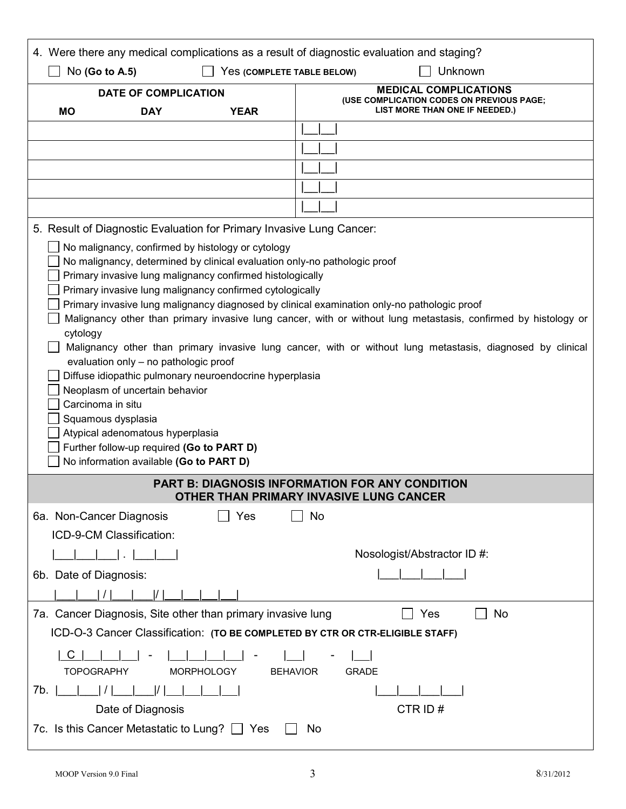| 4. Were there any medical complications as a result of diagnostic evaluation and staging?                                                                                                                                                                                                                                                                                                                                                                                                                                                                                                                                                                                                                                                                                                                                                                                                                       |                                                                                                             |  |  |  |  |  |
|-----------------------------------------------------------------------------------------------------------------------------------------------------------------------------------------------------------------------------------------------------------------------------------------------------------------------------------------------------------------------------------------------------------------------------------------------------------------------------------------------------------------------------------------------------------------------------------------------------------------------------------------------------------------------------------------------------------------------------------------------------------------------------------------------------------------------------------------------------------------------------------------------------------------|-------------------------------------------------------------------------------------------------------------|--|--|--|--|--|
| Unknown<br>No (Go to A.5)<br>Yes (COMPLETE TABLE BELOW)                                                                                                                                                                                                                                                                                                                                                                                                                                                                                                                                                                                                                                                                                                                                                                                                                                                         |                                                                                                             |  |  |  |  |  |
| <b>DATE OF COMPLICATION</b><br><b>MO</b><br><b>DAY</b><br><b>YEAR</b>                                                                                                                                                                                                                                                                                                                                                                                                                                                                                                                                                                                                                                                                                                                                                                                                                                           | <b>MEDICAL COMPLICATIONS</b><br>(USE COMPLICATION CODES ON PREVIOUS PAGE;<br>LIST MORE THAN ONE IF NEEDED.) |  |  |  |  |  |
|                                                                                                                                                                                                                                                                                                                                                                                                                                                                                                                                                                                                                                                                                                                                                                                                                                                                                                                 |                                                                                                             |  |  |  |  |  |
|                                                                                                                                                                                                                                                                                                                                                                                                                                                                                                                                                                                                                                                                                                                                                                                                                                                                                                                 |                                                                                                             |  |  |  |  |  |
|                                                                                                                                                                                                                                                                                                                                                                                                                                                                                                                                                                                                                                                                                                                                                                                                                                                                                                                 |                                                                                                             |  |  |  |  |  |
|                                                                                                                                                                                                                                                                                                                                                                                                                                                                                                                                                                                                                                                                                                                                                                                                                                                                                                                 |                                                                                                             |  |  |  |  |  |
|                                                                                                                                                                                                                                                                                                                                                                                                                                                                                                                                                                                                                                                                                                                                                                                                                                                                                                                 |                                                                                                             |  |  |  |  |  |
| 5. Result of Diagnostic Evaluation for Primary Invasive Lung Cancer:                                                                                                                                                                                                                                                                                                                                                                                                                                                                                                                                                                                                                                                                                                                                                                                                                                            |                                                                                                             |  |  |  |  |  |
| No malignancy, confirmed by histology or cytology<br>No malignancy, determined by clinical evaluation only-no pathologic proof<br>Primary invasive lung malignancy confirmed histologically<br>Primary invasive lung malignancy confirmed cytologically<br>Primary invasive lung malignancy diagnosed by clinical examination only-no pathologic proof<br>Malignancy other than primary invasive lung cancer, with or without lung metastasis, confirmed by histology or<br>cytology<br>Malignancy other than primary invasive lung cancer, with or without lung metastasis, diagnosed by clinical<br>evaluation only - no pathologic proof<br>Diffuse idiopathic pulmonary neuroendocrine hyperplasia<br>Neoplasm of uncertain behavior<br>Carcinoma in situ<br>Squamous dysplasia<br>Atypical adenomatous hyperplasia<br>Further follow-up required (Go to PART D)<br>No information available (Go to PART D) |                                                                                                             |  |  |  |  |  |
|                                                                                                                                                                                                                                                                                                                                                                                                                                                                                                                                                                                                                                                                                                                                                                                                                                                                                                                 | <b>PART B: DIAGNOSIS INFORMATION FOR ANY CONDITION</b><br>OTHER THAN PRIMARY INVASIVE LIING CANCER          |  |  |  |  |  |
| 6a. Non-Cancer Diagnosis<br>Yes                                                                                                                                                                                                                                                                                                                                                                                                                                                                                                                                                                                                                                                                                                                                                                                                                                                                                 | No                                                                                                          |  |  |  |  |  |
| ICD-9-CM Classification:                                                                                                                                                                                                                                                                                                                                                                                                                                                                                                                                                                                                                                                                                                                                                                                                                                                                                        |                                                                                                             |  |  |  |  |  |
|                                                                                                                                                                                                                                                                                                                                                                                                                                                                                                                                                                                                                                                                                                                                                                                                                                                                                                                 | Nosologist/Abstractor ID #:                                                                                 |  |  |  |  |  |
| 6b. Date of Diagnosis:                                                                                                                                                                                                                                                                                                                                                                                                                                                                                                                                                                                                                                                                                                                                                                                                                                                                                          |                                                                                                             |  |  |  |  |  |
|                                                                                                                                                                                                                                                                                                                                                                                                                                                                                                                                                                                                                                                                                                                                                                                                                                                                                                                 |                                                                                                             |  |  |  |  |  |
| 7a. Cancer Diagnosis, Site other than primary invasive lung<br>No<br>Yes                                                                                                                                                                                                                                                                                                                                                                                                                                                                                                                                                                                                                                                                                                                                                                                                                                        |                                                                                                             |  |  |  |  |  |
| ICD-O-3 Cancer Classification: (TO BE COMPLETED BY CTR OR CTR-ELIGIBLE STAFF)                                                                                                                                                                                                                                                                                                                                                                                                                                                                                                                                                                                                                                                                                                                                                                                                                                   |                                                                                                             |  |  |  |  |  |
| <b>TOPOGRAPHY</b><br><b>MORPHOLOGY</b><br><b>GRADE</b><br><b>BEHAVIOR</b>                                                                                                                                                                                                                                                                                                                                                                                                                                                                                                                                                                                                                                                                                                                                                                                                                                       |                                                                                                             |  |  |  |  |  |
| 7b.  <br>$\prime$ 1                                                                                                                                                                                                                                                                                                                                                                                                                                                                                                                                                                                                                                                                                                                                                                                                                                                                                             |                                                                                                             |  |  |  |  |  |
| Date of Diagnosis                                                                                                                                                                                                                                                                                                                                                                                                                                                                                                                                                                                                                                                                                                                                                                                                                                                                                               | CTR ID#                                                                                                     |  |  |  |  |  |
| 7c. Is this Cancer Metastatic to Lung?<br>Yes                                                                                                                                                                                                                                                                                                                                                                                                                                                                                                                                                                                                                                                                                                                                                                                                                                                                   | No                                                                                                          |  |  |  |  |  |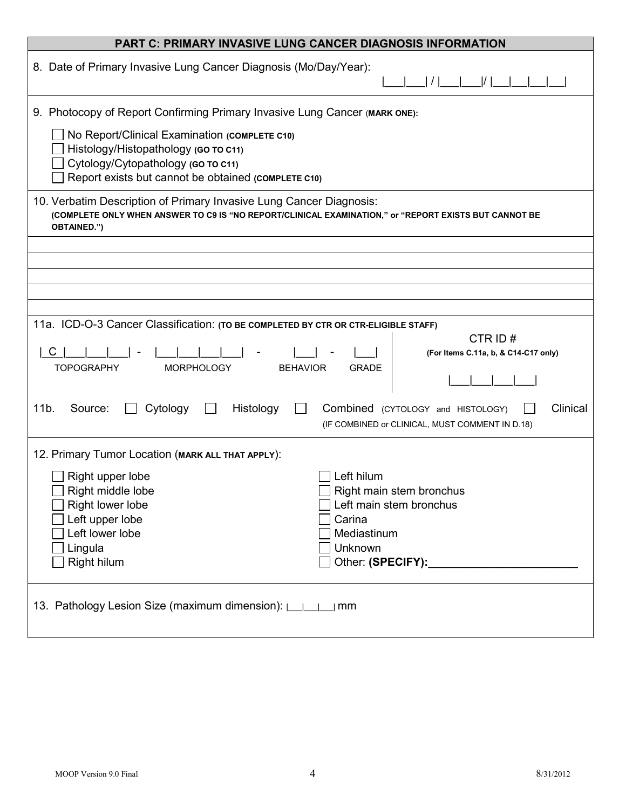| <b>PART C: PRIMARY INVASIVE LUNG CANCER DIAGNOSIS INFORMATION</b>                                                                                                                                                                                              |  |  |  |  |  |
|----------------------------------------------------------------------------------------------------------------------------------------------------------------------------------------------------------------------------------------------------------------|--|--|--|--|--|
| 8. Date of Primary Invasive Lung Cancer Diagnosis (Mo/Day/Year):                                                                                                                                                                                               |  |  |  |  |  |
| 9. Photocopy of Report Confirming Primary Invasive Lung Cancer (MARK ONE):                                                                                                                                                                                     |  |  |  |  |  |
| No Report/Clinical Examination (COMPLETE C10)<br>Histology/Histopathology (GO TO C11)<br>Cytology/Cytopathology (GO TO C11)<br>Report exists but cannot be obtained (COMPLETE C10)                                                                             |  |  |  |  |  |
| 10. Verbatim Description of Primary Invasive Lung Cancer Diagnosis:<br>(COMPLETE ONLY WHEN ANSWER TO C9 IS "NO REPORT/CLINICAL EXAMINATION," or "REPORT EXISTS BUT CANNOT BE<br><b>OBTAINED.")</b>                                                             |  |  |  |  |  |
|                                                                                                                                                                                                                                                                |  |  |  |  |  |
|                                                                                                                                                                                                                                                                |  |  |  |  |  |
|                                                                                                                                                                                                                                                                |  |  |  |  |  |
|                                                                                                                                                                                                                                                                |  |  |  |  |  |
| 11a. ICD-O-3 Cancer Classification: (TO BE COMPLETED BY CTR OR CTR-ELIGIBLE STAFF)<br>CTR ID#<br>C<br>(For Items C.11a, b, & C14-C17 only)<br><b>TOPOGRAPHY</b><br><b>MORPHOLOGY</b><br><b>BEHAVIOR</b><br><b>GRADE</b>                                        |  |  |  |  |  |
| Histology<br>Clinical<br>11 <sub>b</sub><br>Source:<br>Cytology<br>Combined (CYTOLOGY and HISTOLOGY)<br>(IF COMBINED or CLINICAL, MUST COMMENT IN D.18)                                                                                                        |  |  |  |  |  |
| 12. Primary Tumor Location (MARK ALL THAT APPLY):                                                                                                                                                                                                              |  |  |  |  |  |
| Right upper lobe<br>Left hilum<br>$\Box$ Right middle lobe<br>Right main stem bronchus<br>Right lower lobe<br>Left main stem bronchus<br>Left upper lobe<br>Carina<br>Left lower lobe<br>Mediastinum<br>Unknown<br>Lingula<br>Other: (SPECIFY):<br>Right hilum |  |  |  |  |  |
| 13. Pathology Lesion Size (maximum dimension): 11.<br>$\mid$ mm                                                                                                                                                                                                |  |  |  |  |  |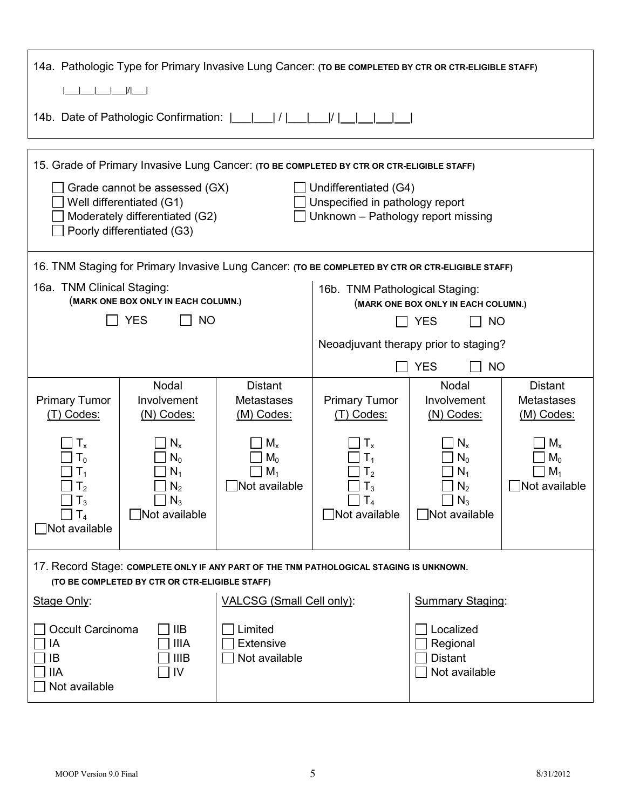| 14a. Pathologic Type for Primary Invasive Lung Cancer: (TO BE COMPLETED BY CTR OR CTR-ELIGIBLE STAFF)                                                                                                                                                                                                                    |                                                              |                                                                                                  |                                                                                       |                                                              |                                                   |  |  |  |
|--------------------------------------------------------------------------------------------------------------------------------------------------------------------------------------------------------------------------------------------------------------------------------------------------------------------------|--------------------------------------------------------------|--------------------------------------------------------------------------------------------------|---------------------------------------------------------------------------------------|--------------------------------------------------------------|---------------------------------------------------|--|--|--|
| I                                                                                                                                                                                                                                                                                                                        |                                                              |                                                                                                  |                                                                                       |                                                              |                                                   |  |  |  |
|                                                                                                                                                                                                                                                                                                                          | 14b. Date of Pathologic Confirmation:            <br> I      |                                                                                                  |                                                                                       |                                                              |                                                   |  |  |  |
| 15. Grade of Primary Invasive Lung Cancer: (TO BE COMPLETED BY CTR OR CTR-ELIGIBLE STAFF)<br>Grade cannot be assessed (GX)<br>Undifferentiated (G4)<br>Well differentiated (G1)<br>Unspecified in pathology report<br>Moderately differentiated (G2)<br>Unknown - Pathology report missing<br>Poorly differentiated (G3) |                                                              |                                                                                                  |                                                                                       |                                                              |                                                   |  |  |  |
|                                                                                                                                                                                                                                                                                                                          |                                                              | 16. TNM Staging for Primary Invasive Lung Cancer: (TO BE COMPLETED BY CTR OR CTR-ELIGIBLE STAFF) |                                                                                       |                                                              |                                                   |  |  |  |
| 16a. TNM Clinical Staging:                                                                                                                                                                                                                                                                                               | (MARK ONE BOX ONLY IN EACH COLUMN.)                          |                                                                                                  | 16b. TNM Pathological Staging:<br>(MARK ONE BOX ONLY IN EACH COLUMN.)                 |                                                              |                                                   |  |  |  |
|                                                                                                                                                                                                                                                                                                                          | <b>YES</b><br><b>NO</b>                                      |                                                                                                  |                                                                                       | <b>YES</b><br><b>NO</b>                                      |                                                   |  |  |  |
|                                                                                                                                                                                                                                                                                                                          |                                                              |                                                                                                  | Neoadjuvant therapy prior to staging?                                                 |                                                              |                                                   |  |  |  |
|                                                                                                                                                                                                                                                                                                                          |                                                              |                                                                                                  | <b>YES</b><br><b>NO</b>                                                               |                                                              |                                                   |  |  |  |
| <b>Primary Tumor</b><br>(T) Codes:                                                                                                                                                                                                                                                                                       | Nodal<br>Involvement<br>$(N)$ Codes:                         | <b>Distant</b><br><b>Metastases</b><br>(M) Codes:                                                | <b>Primary Tumor</b><br>(T) Codes:                                                    | Nodal<br>Involvement<br>$(N)$ Codes:                         | <b>Distant</b><br><b>Metastases</b><br>(M) Codes: |  |  |  |
| $T_{x}$<br>$\mathsf{T_0}$<br>$\mathsf{T}_1$<br>$T_{2}$<br>$T_3$<br>$\Box$ $T_4$<br>Not available                                                                                                                                                                                                                         | $N_{x}$<br>$N_0$<br>$N_1$<br>$N_2$<br>$N_3$<br>Not available | $M_{x}$<br>$M_0$<br>$M_1$<br>Not available                                                       | T <sub>x</sub><br>$\mathsf{I}_2$<br>$\mathsf{I}_3$<br>$\mathsf{T}_4$<br>Not available | $N_{x}$<br>$N_0$<br>$N_1$<br>$N_2$<br>$N_3$<br>Not available | $M_{x}$<br>$M_0$<br>$M_1$<br>Not available        |  |  |  |
| 17. Record Stage: COMPLETE ONLY IF ANY PART OF THE TNM PATHOLOGICAL STAGING IS UNKNOWN.<br>(TO BE COMPLETED BY CTR OR CTR-ELIGIBLE STAFF)                                                                                                                                                                                |                                                              |                                                                                                  |                                                                                       |                                                              |                                                   |  |  |  |
| <b>VALCSG (Small Cell only):</b><br><b>Summary Staging:</b><br>Stage Only:                                                                                                                                                                                                                                               |                                                              |                                                                                                  |                                                                                       |                                                              |                                                   |  |  |  |
| Occult Carcinoma<br>IIВ<br>Limited<br><b>IIIA</b><br><b>Extensive</b><br>ΙA<br>IIIB<br>Not available<br>ΙB<br>IIА<br>I٧<br>Not available                                                                                                                                                                                 |                                                              |                                                                                                  |                                                                                       | Localized<br>Regional<br><b>Distant</b><br>Not available     |                                                   |  |  |  |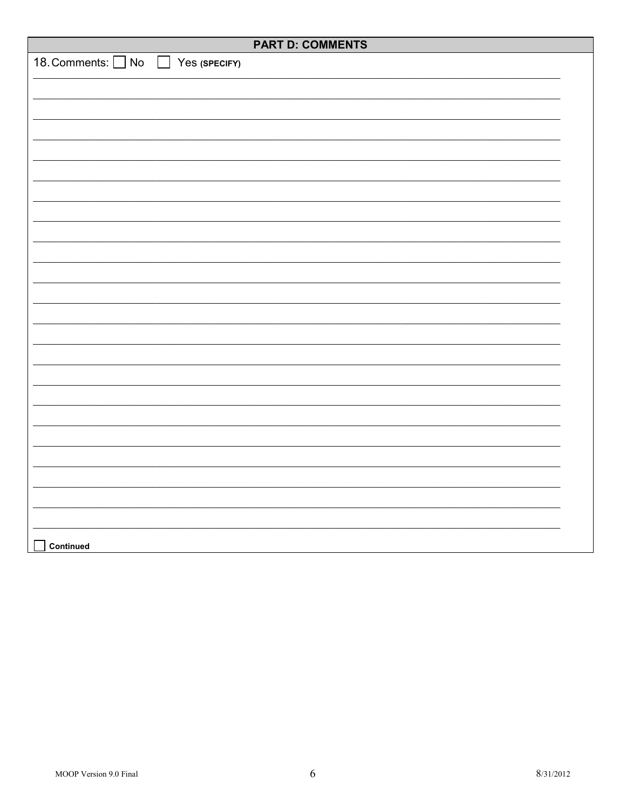|                                                       | <b>PART D: COMMENTS</b> |
|-------------------------------------------------------|-------------------------|
| 18. Comments: O No<br>Yes (SPECIFY)<br>$\blacksquare$ |                         |
|                                                       |                         |
|                                                       |                         |
|                                                       |                         |
|                                                       |                         |
|                                                       |                         |
|                                                       |                         |
|                                                       |                         |
|                                                       |                         |
|                                                       |                         |
|                                                       |                         |
|                                                       |                         |
|                                                       |                         |
|                                                       |                         |
|                                                       |                         |
|                                                       |                         |
|                                                       |                         |
|                                                       |                         |
|                                                       |                         |
|                                                       |                         |
|                                                       |                         |
|                                                       |                         |
|                                                       |                         |
|                                                       |                         |
|                                                       |                         |
|                                                       |                         |
|                                                       |                         |
| Continued                                             |                         |